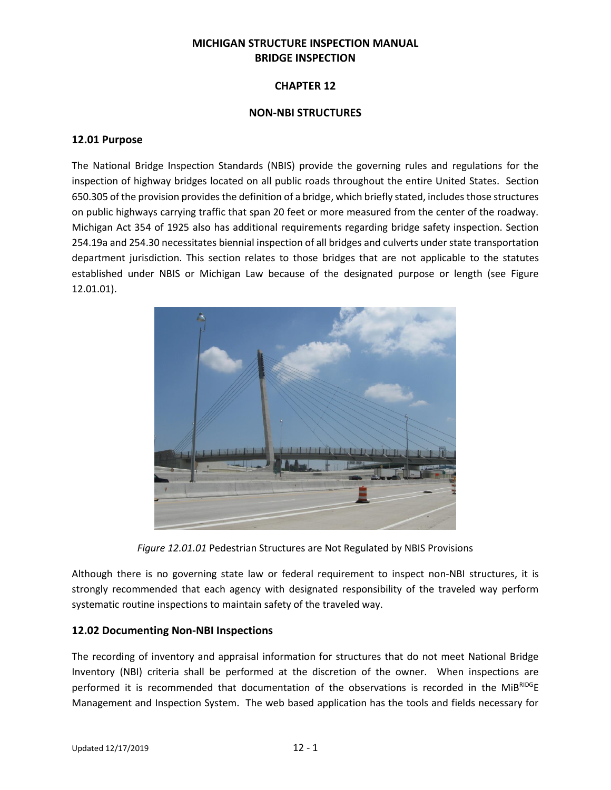## **MICHIGAN STRUCTURE INSPECTION MANUAL BRIDGE INSPECTION**

### **CHAPTER 12**

#### **NON-NBI STRUCTURES**

#### **12.01 Purpose**

The National Bridge Inspection Standards (NBIS) provide the governing rules and regulations for the inspection of highway bridges located on all public roads throughout the entire United States. Section 650.305 of the provision provides the definition of a bridge, which briefly stated, includes those structures on public highways carrying traffic that span 20 feet or more measured from the center of the roadway. Michigan Act 354 of 1925 also has additional requirements regarding bridge safety inspection. Section 254.19a and 254.30 necessitates biennial inspection of all bridges and culverts under state transportation department jurisdiction. This section relates to those bridges that are not applicable to the statutes established under NBIS or Michigan Law because of the designated purpose or length (see Figure 12.01.01).



*Figure 12.01.01* Pedestrian Structures are Not Regulated by NBIS Provisions

Although there is no governing state law or federal requirement to inspect non-NBI structures, it is strongly recommended that each agency with designated responsibility of the traveled way perform systematic routine inspections to maintain safety of the traveled way.

### **12.02 Documenting Non-NBI Inspections**

The recording of inventory and appraisal information for structures that do not meet National Bridge Inventory (NBI) criteria shall be performed at the discretion of the owner. When inspections are performed it is recommended that documentation of the observations is recorded in the MiBRIDGE Management and Inspection System. The web based application has the tools and fields necessary for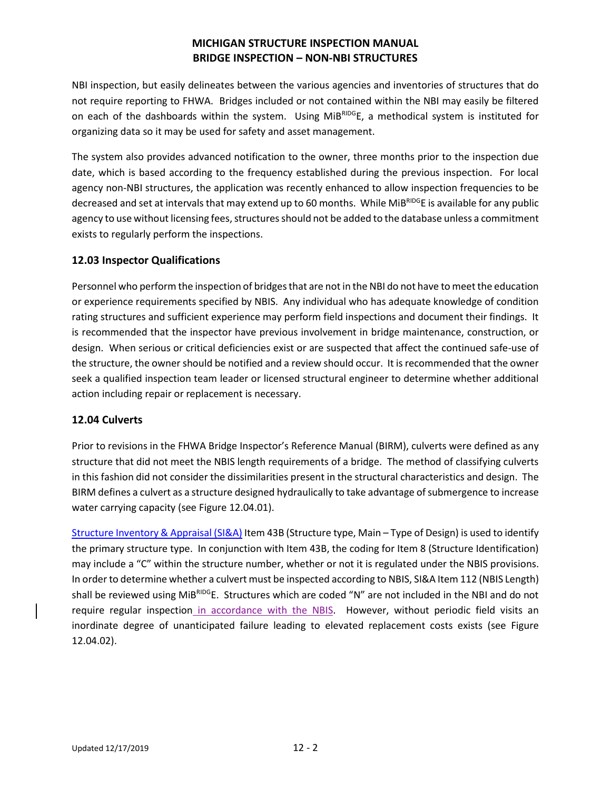NBI inspection, but easily delineates between the various agencies and inventories of structures that do not require reporting to FHWA. Bridges included or not contained within the NBI may easily be filtered on each of the dashboards within the system. Using MiBRIDGE, a methodical system is instituted for organizing data so it may be used for safety and asset management.

The system also provides advanced notification to the owner, three months prior to the inspection due date, which is based according to the frequency established during the previous inspection. For local agency non-NBI structures, the application was recently enhanced to allow inspection frequencies to be decreased and set at intervals that may extend up to 60 months. While MiBRIDGE is available for any public agency to use without licensing fees, structures should not be added to the database unless a commitment exists to regularly perform the inspections.

## **12.03 Inspector Qualifications**

Personnel who perform the inspection of bridges that are not in the NBI do not have to meet the education or experience requirements specified by NBIS. Any individual who has adequate knowledge of condition rating structures and sufficient experience may perform field inspections and document their findings. It is recommended that the inspector have previous involvement in bridge maintenance, construction, or design. When serious or critical deficiencies exist or are suspected that affect the continued safe-use of the structure, the owner should be notified and a review should occur. It is recommended that the owner seek a qualified inspection team leader or licensed structural engineer to determine whether additional action including repair or replacement is necessary.

### **12.04 Culverts**

Prior to revisions in the FHWA Bridge Inspector's Reference Manual (BIRM), culverts were defined as any structure that did not meet the NBIS length requirements of a bridge. The method of classifying culverts in this fashion did not consider the dissimilarities present in the structural characteristics and design. The BIRM defines a culvert as a structure designed hydraulically to take advantage of submergence to increase water carrying capacity (see Figure 12.04.01).

[Structure Inventory & Appraisal \(SI&A\)](http://www.michigan.gov/documents/mdot_SIA_Manual-2_79072_7.pdf) Item 43B (Structure type, Main – Type of Design) is used to identify the primary structure type. In conjunction with Item 43B, the coding for Item 8 (Structure Identification) may include a "C" within the structure number, whether or not it is regulated under the NBIS provisions. In order to determine whether a culvert must be inspected according to NBIS, SI&A Item 112 (NBIS Length) shall be reviewed using MiBRIDGE. Structures which are coded "N" are not included in the NBI and do not require regular inspection in accordance with the NBIS. However, without periodic field visits an inordinate degree of unanticipated failure leading to elevated replacement costs exists (see Figure 12.04.02).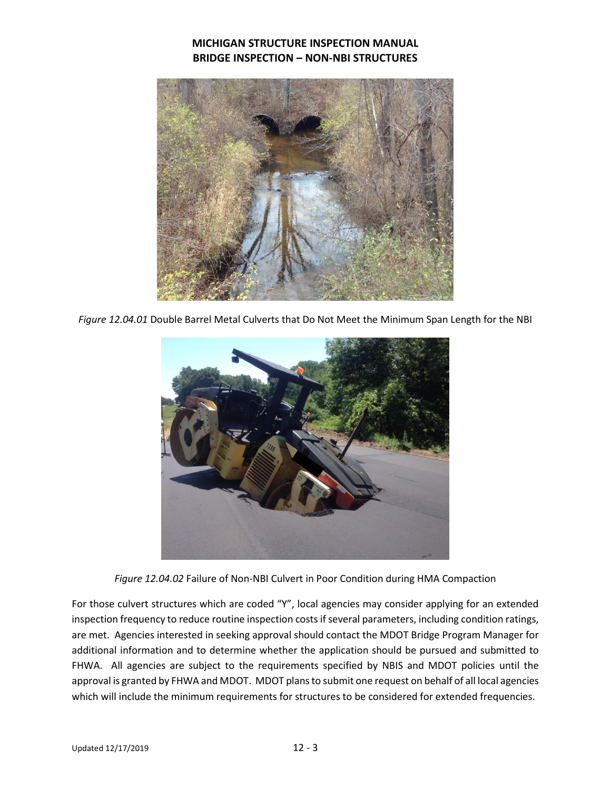

*Figure 12.04.01* Double Barrel Metal Culverts that Do Not Meet the Minimum Span Length for the NBI



*Figure 12.04.02* Failure of Non-NBI Culvert in Poor Condition during HMA Compaction

For those culvert structures which are coded "Y", local agencies may consider applying for an extended inspection frequency to reduce routine inspection costs if several parameters, including condition ratings, are met. Agencies interested in seeking approval should contact the MDOT Bridge Program Manager for additional information and to determine whether the application should be pursued and submitted to FHWA. All agencies are subject to the requirements specified by NBIS and MDOT policies until the approval is granted by FHWA and MDOT. MDOT plans to submit one request on behalf of all local agencies which will include the minimum requirements for structures to be considered for extended frequencies.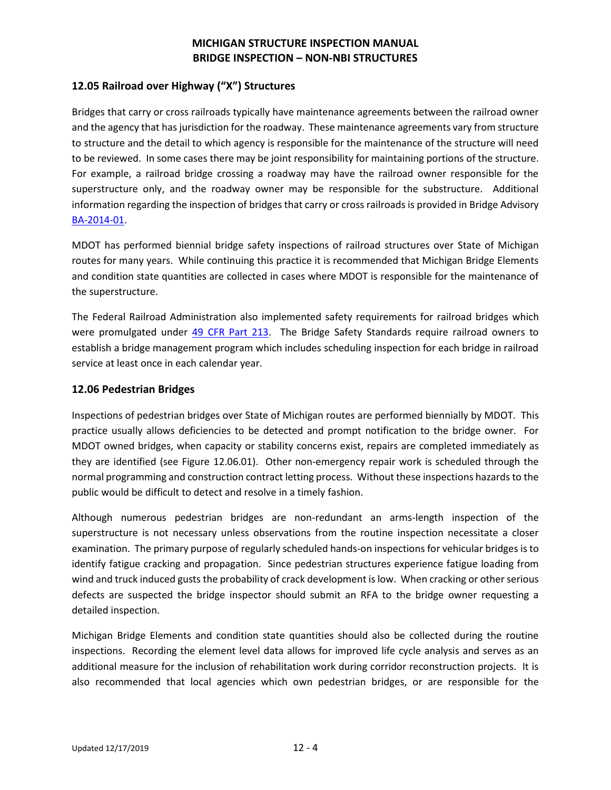### **12.05 Railroad over Highway ("X") Structures**

Bridges that carry or cross railroads typically have maintenance agreements between the railroad owner and the agency that has jurisdiction for the roadway. These maintenance agreements vary from structure to structure and the detail to which agency is responsible for the maintenance of the structure will need to be reviewed. In some cases there may be joint responsibility for maintaining portions of the structure. For example, a railroad bridge crossing a roadway may have the railroad owner responsible for the superstructure only, and the roadway owner may be responsible for the substructure. Additional information regarding the inspection of bridges that carry or cross railroads is provided in Bridge Advisory [BA-2014-01.](http://www.michigan.gov/documents/mdot/BA_2014-01_RR_Inspection_449002_7.pdf)

MDOT has performed biennial bridge safety inspections of railroad structures over State of Michigan routes for many years. While continuing this practice it is recommended that Michigan Bridge Elements and condition state quantities are collected in cases where MDOT is responsible for the maintenance of the superstructure.

The Federal Railroad Administration also implemented safety requirements for railroad bridges which were promulgated under [49 CFR Part 213.](http://www.fra.dot.gov/Elib/Details/L03212) The Bridge Safety Standards require railroad owners to establish a bridge management program which includes scheduling inspection for each bridge in railroad service at least once in each calendar year.

#### **12.06 Pedestrian Bridges**

Inspections of pedestrian bridges over State of Michigan routes are performed biennially by MDOT. This practice usually allows deficiencies to be detected and prompt notification to the bridge owner. For MDOT owned bridges, when capacity or stability concerns exist, repairs are completed immediately as they are identified (see Figure 12.06.01). Other non-emergency repair work is scheduled through the normal programming and construction contract letting process. Without these inspections hazards to the public would be difficult to detect and resolve in a timely fashion.

Although numerous pedestrian bridges are non-redundant an arms-length inspection of the superstructure is not necessary unless observations from the routine inspection necessitate a closer examination. The primary purpose of regularly scheduled hands-on inspections for vehicular bridges is to identify fatigue cracking and propagation. Since pedestrian structures experience fatigue loading from wind and truck induced gusts the probability of crack development is low. When cracking or other serious defects are suspected the bridge inspector should submit an RFA to the bridge owner requesting a detailed inspection.

Michigan Bridge Elements and condition state quantities should also be collected during the routine inspections. Recording the element level data allows for improved life cycle analysis and serves as an additional measure for the inclusion of rehabilitation work during corridor reconstruction projects. It is also recommended that local agencies which own pedestrian bridges, or are responsible for the